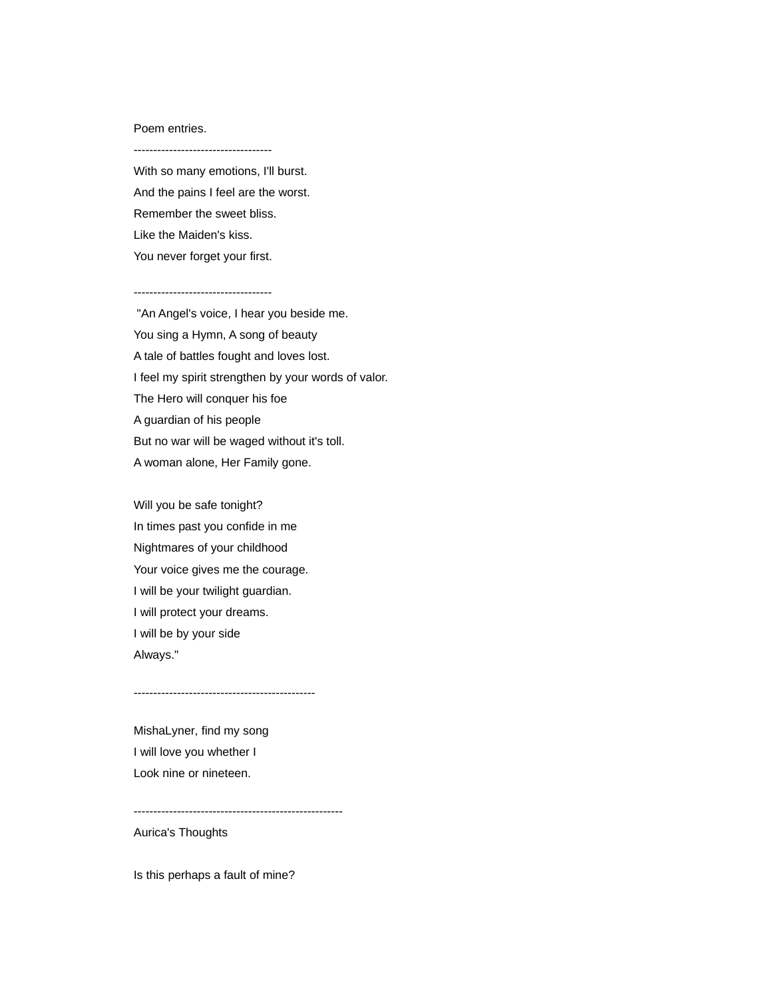## Poem entries.

-----------------------------------

With so many emotions, I'll burst. And the pains I feel are the worst. Remember the sweet bliss. Like the Maiden's kiss. You never forget your first.

-----------------------------------

 "An Angel's voice, I hear you beside me. You sing a Hymn, A song of beauty A tale of battles fought and loves lost. I feel my spirit strengthen by your words of valor. The Hero will conquer his foe A guardian of his people But no war will be waged without it's toll. A woman alone, Her Family gone.

Will you be safe tonight? In times past you confide in me Nightmares of your childhood Your voice gives me the courage. I will be your twilight guardian. I will protect your dreams. I will be by your side Always."

----------------------------------------------

MishaLyner, find my song I will love you whether I Look nine or nineteen.

-----------------------------------------------------

Aurica's Thoughts

Is this perhaps a fault of mine?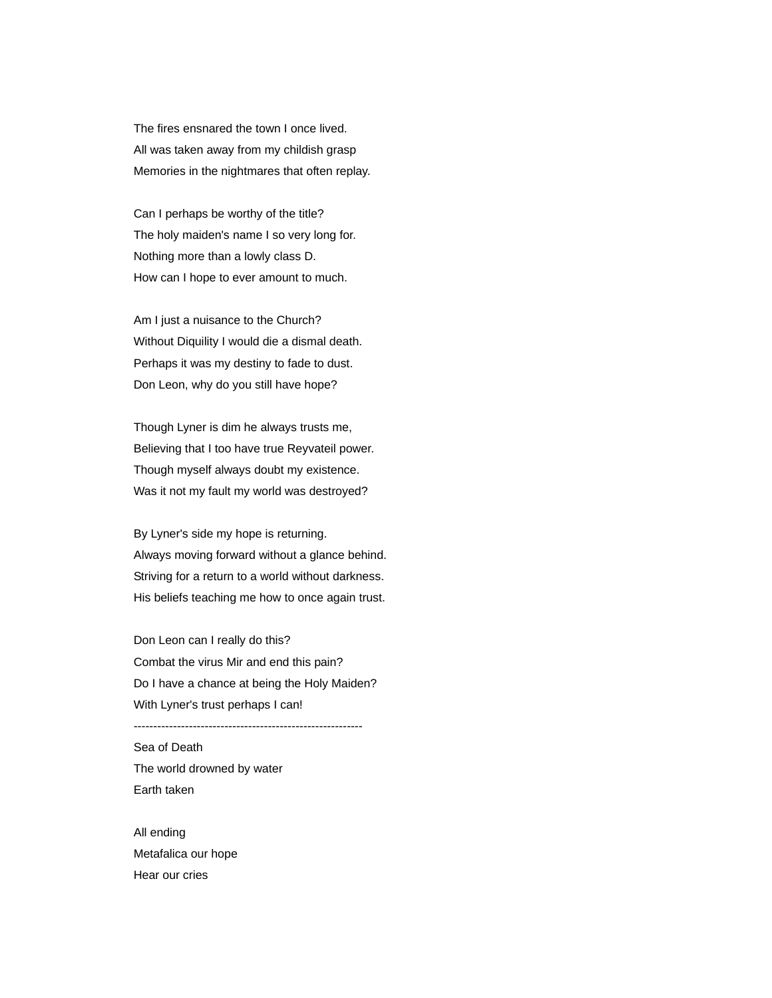The fires ensnared the town I once lived. All was taken away from my childish grasp Memories in the nightmares that often replay.

Can I perhaps be worthy of the title? The holy maiden's name I so very long for. Nothing more than a lowly class D. How can I hope to ever amount to much.

Am I just a nuisance to the Church? Without Diquility I would die a dismal death. Perhaps it was my destiny to fade to dust. Don Leon, why do you still have hope?

Though Lyner is dim he always trusts me, Believing that I too have true Reyvateil power. Though myself always doubt my existence. Was it not my fault my world was destroyed?

By Lyner's side my hope is returning. Always moving forward without a glance behind. Striving for a return to a world without darkness. His beliefs teaching me how to once again trust.

Don Leon can I really do this? Combat the virus Mir and end this pain? Do I have a chance at being the Holy Maiden? With Lyner's trust perhaps I can!

----------------------------------------------------------

Sea of Death The world drowned by water Earth taken

All ending Metafalica our hope Hear our cries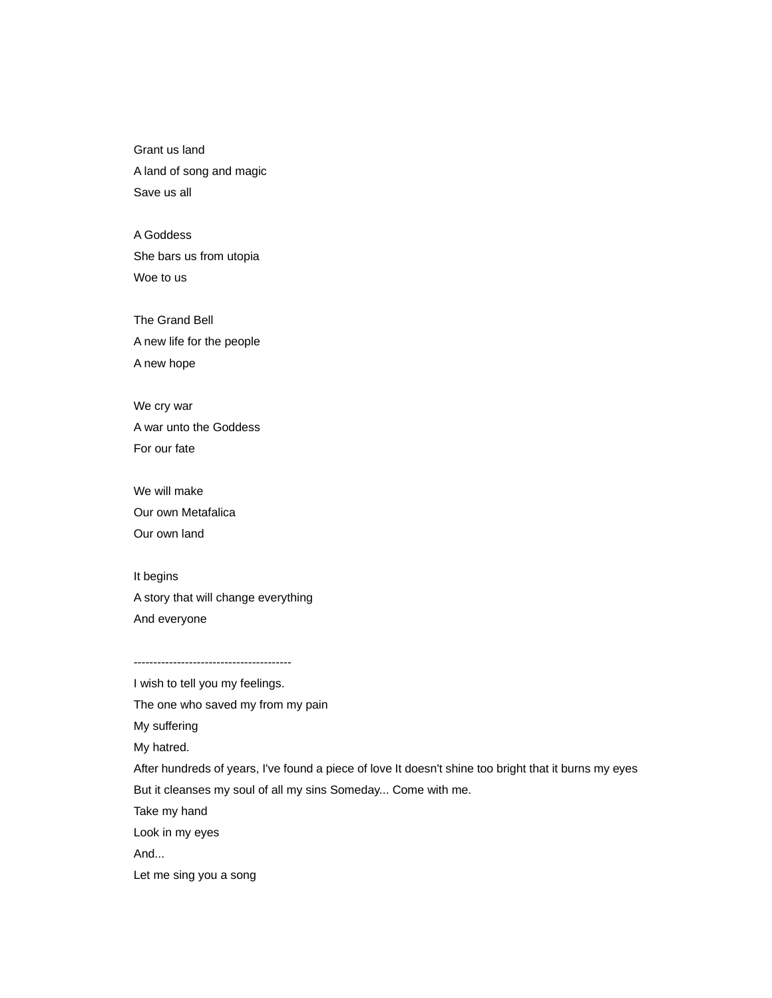Grant us land A land of song and magic Save us all

A Goddess She bars us from utopia Woe to us

The Grand Bell A new life for the people A new hope

We cry war A war unto the Goddess For our fate

We will make Our own Metafalica Our own land

It begins A story that will change everything And everyone

----------------------------------------

I wish to tell you my feelings. The one who saved my from my pain My suffering My hatred. After hundreds of years, I've found a piece of love It doesn't shine too bright that it burns my eyes But it cleanses my soul of all my sins Someday... Come with me. Take my hand Look in my eyes

And...

Let me sing you a song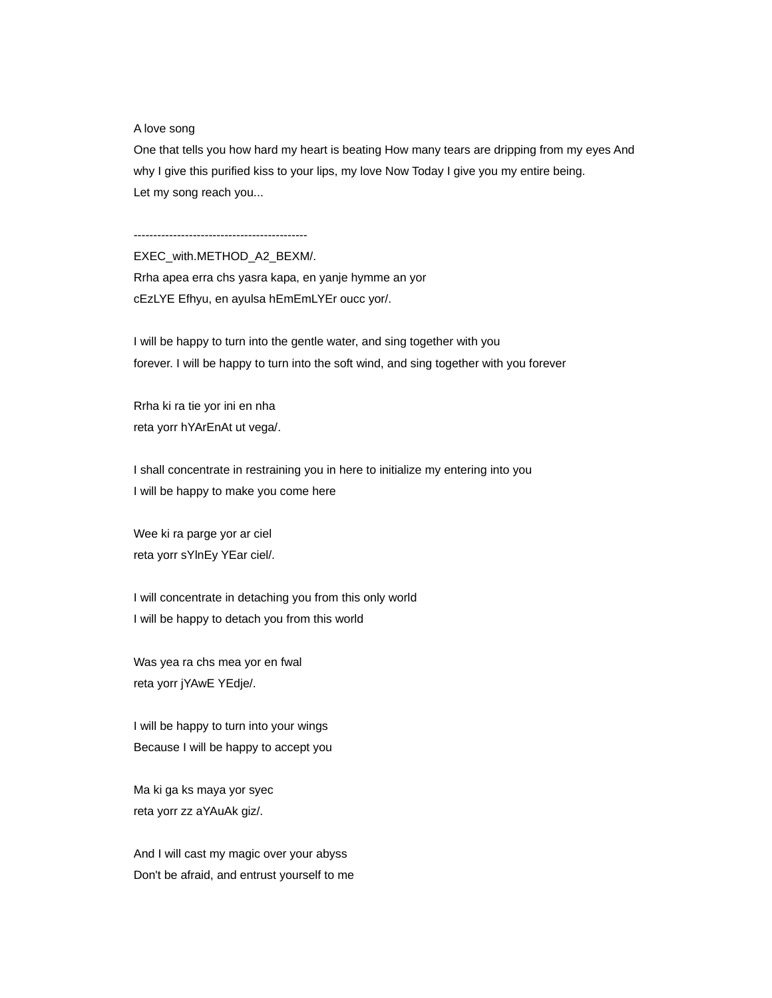## A love song

One that tells you how hard my heart is beating How many tears are dripping from my eyes And why I give this purified kiss to your lips, my love Now Today I give you my entire being. Let my song reach you...

--------------------------------------------

EXEC\_with.METHOD\_A2\_BEXM/.

Rrha apea erra chs yasra kapa, en yanje hymme an yor cEzLYE Efhyu, en ayulsa hEmEmLYEr oucc yor/.

I will be happy to turn into the gentle water, and sing together with you forever. I will be happy to turn into the soft wind, and sing together with you forever

Rrha ki ra tie yor ini en nha reta yorr hYArEnAt ut vega/.

I shall concentrate in restraining you in here to initialize my entering into you I will be happy to make you come here

Wee ki ra parge yor ar ciel reta yorr sYlnEy YEar ciel/.

I will concentrate in detaching you from this only world I will be happy to detach you from this world

Was yea ra chs mea yor en fwal reta yorr jYAwE YEdje/.

I will be happy to turn into your wings Because I will be happy to accept you

Ma ki ga ks maya yor syec reta yorr zz aYAuAk giz/.

And I will cast my magic over your abyss Don't be afraid, and entrust yourself to me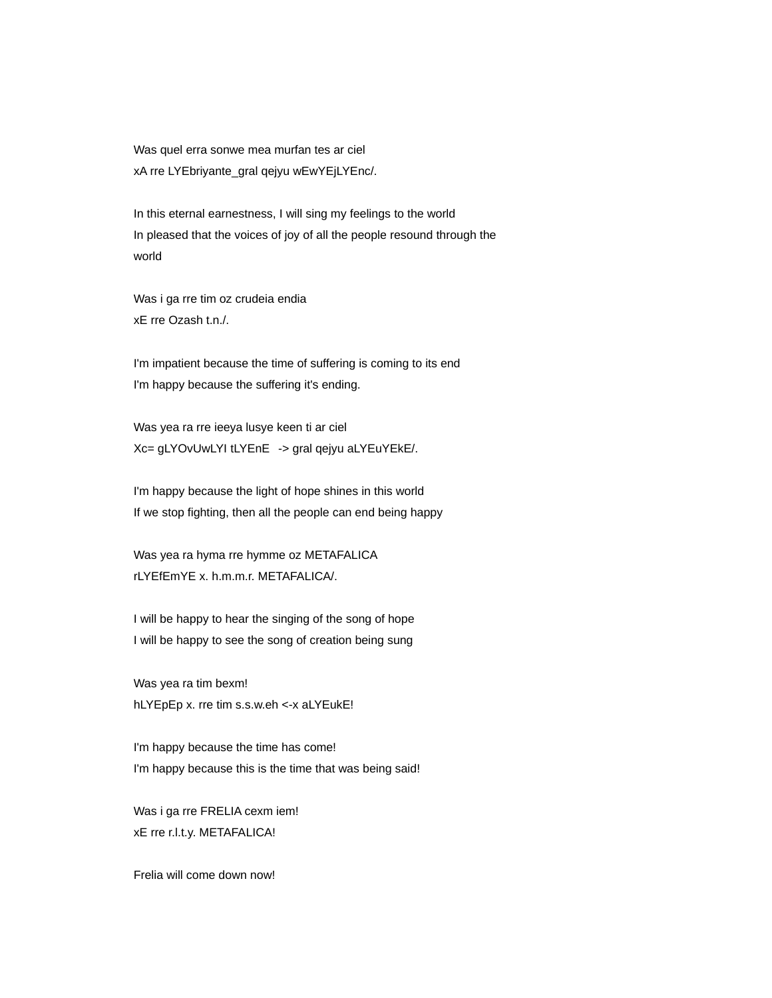Was quel erra sonwe mea murfan tes ar ciel xA rre LYEbriyante\_gral qejyu wEwYEjLYEnc/.

In this eternal earnestness, I will sing my feelings to the world In pleased that the voices of joy of all the people resound through the world

Was i ga rre tim oz crudeia endia xE rre Ozash t.n./.

I'm impatient because the time of suffering is coming to its end I'm happy because the suffering it's ending.

Was yea ra rre ieeya lusye keen ti ar ciel Xc= gLYOvUwLYI tLYEnE -> gral qejyu aLYEuYEkE/.

I'm happy because the light of hope shines in this world If we stop fighting, then all the people can end being happy

Was yea ra hyma rre hymme oz METAFALICA rLYEfEmYE x. h.m.m.r. METAFALICA/.

I will be happy to hear the singing of the song of hope I will be happy to see the song of creation being sung

Was yea ra tim bexm! hLYEpEp x. rre tim s.s.w.eh <-x aLYEukE!

I'm happy because the time has come! I'm happy because this is the time that was being said!

Was i ga rre FRELIA cexm iem! xE rre r.l.t.y. METAFALICA!

Frelia will come down now!